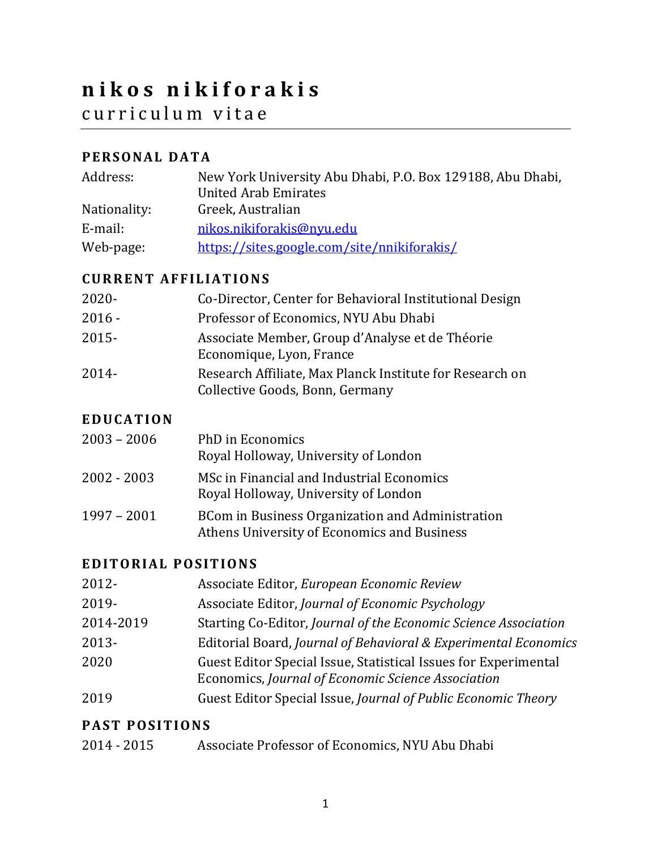# **nikos nikiforakis** curriculum vitae

# **PERSONAL DATA**

| Address:     | New York University Abu Dhabi, P.O. Box 129188, Abu Dhabi,<br><b>United Arab Emirates</b> |
|--------------|-------------------------------------------------------------------------------------------|
| Nationality: | Greek, Australian                                                                         |
| E-mail:      | nikos.nikiforakis@nyu.edu                                                                 |
| Web-page:    | https://sites.google.com/site/nnikiforakis/                                               |

## **CURRENT AFFILIATIONS**

| $2020 -$ | Co-Director, Center for Behavioral Institutional Design                                     |
|----------|---------------------------------------------------------------------------------------------|
| $2016 -$ | Professor of Economics, NYU Abu Dhabi                                                       |
| 2015-    | Associate Member, Group d'Analyse et de Théorie<br>Economique, Lyon, France                 |
| 2014-    | Research Affiliate, Max Planck Institute for Research on<br>Collective Goods, Bonn, Germany |

#### **EDUCATION**

| $2003 - 2006$ | PhD in Economics<br>Royal Holloway, University of London                                               |
|---------------|--------------------------------------------------------------------------------------------------------|
| 2002 - 2003   | MSc in Financial and Industrial Economics<br>Royal Holloway, University of London                      |
| $1997 - 2001$ | <b>BCom in Business Organization and Administration</b><br>Athens University of Economics and Business |

#### **EDITORIAL POSITIONS**

| 2012-     | Associate Editor, European Economic Review                                                                            |
|-----------|-----------------------------------------------------------------------------------------------------------------------|
| 2019-     | Associate Editor, Journal of Economic Psychology                                                                      |
| 2014-2019 | Starting Co-Editor, Journal of the Economic Science Association                                                       |
| 2013-     | Editorial Board, Journal of Behavioral & Experimental Economics                                                       |
| 2020      | Guest Editor Special Issue, Statistical Issues for Experimental<br>Economics, Journal of Economic Science Association |
| 2019      | Guest Editor Special Issue, Journal of Public Economic Theory                                                         |

## **PAST POSITIONS**

| Associate Professor of Economics, NYU Abu Dhabi<br>2014 - 2015 |
|----------------------------------------------------------------|
|----------------------------------------------------------------|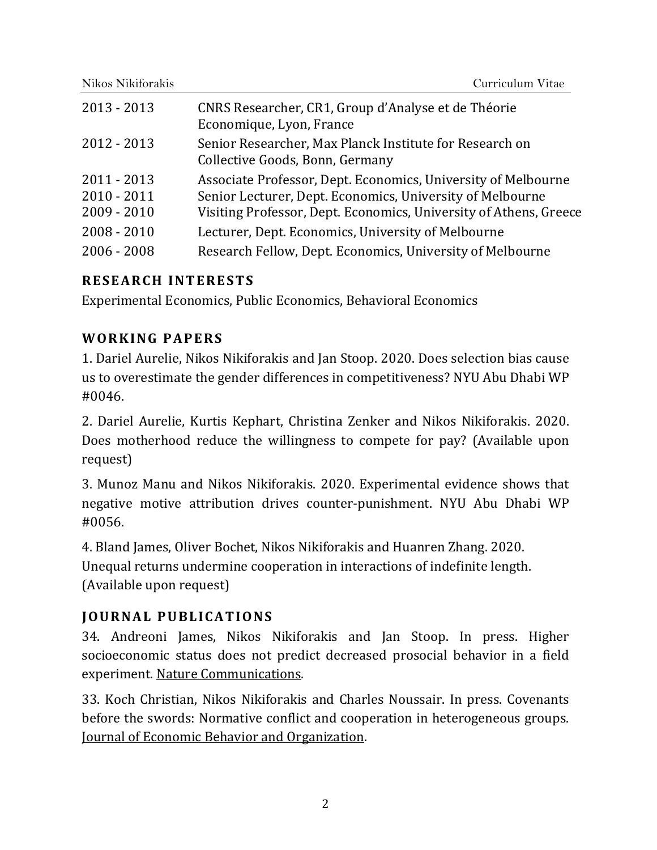| Nikos Nikiforakis | Curriculum Vitae                                                                           |
|-------------------|--------------------------------------------------------------------------------------------|
| $2013 - 2013$     | CNRS Researcher, CR1, Group d'Analyse et de Théorie<br>Economique, Lyon, France            |
| $2012 - 2013$     | Senior Researcher, Max Planck Institute for Research on<br>Collective Goods, Bonn, Germany |
| $2011 - 2013$     | Associate Professor, Dept. Economics, University of Melbourne                              |

2010 - 2011 Senior Lecturer, Dept. Economics, University of Melbourne

2009 - 2010 Visiting Professor, Dept. Economics, University of Athens, Greece

2008 - 2010 Lecturer, Dept. Economics, University of Melbourne

2006 - 2008 Research Fellow, Dept. Economics, University of Melbourne

## **RESEARCH INTERESTS**

Experimental Economics, Public Economics, Behavioral Economics

# **WORKING PAPERS**

1. Dariel Aurelie, Nikos Nikiforakis and Jan Stoop. 2020. Does selection bias cause us to overestimate the gender differences in competitiveness? NYU Abu Dhabi WP #0046.

2. Dariel Aurelie, Kurtis Kephart, Christina Zenker and Nikos Nikiforakis. 2020. Does motherhood reduce the willingness to compete for pay? (Available upon request)

3. Munoz Manu and Nikos Nikiforakis. 2020. Experimental evidence shows that negative motive attribution drives counter-punishment. NYU Abu Dhabi WP #0056.

4. Bland James, Oliver Bochet, Nikos Nikiforakis and Huanren Zhang. 2020. Unequal returns undermine cooperation in interactions of indefinite length. (Available upon request)

# **JOURNAL PUBLICATIONS**

34. Andreoni James, Nikos Nikiforakis and Jan Stoop. In press. Higher socioeconomic status does not predict decreased prosocial behavior in a field experiment. Nature Communications*.*

33. Koch Christian, Nikos Nikiforakis and Charles Noussair. In press. Covenants before the swords: Normative conflict and cooperation in heterogeneous groups. Journal of Economic Behavior and Organization.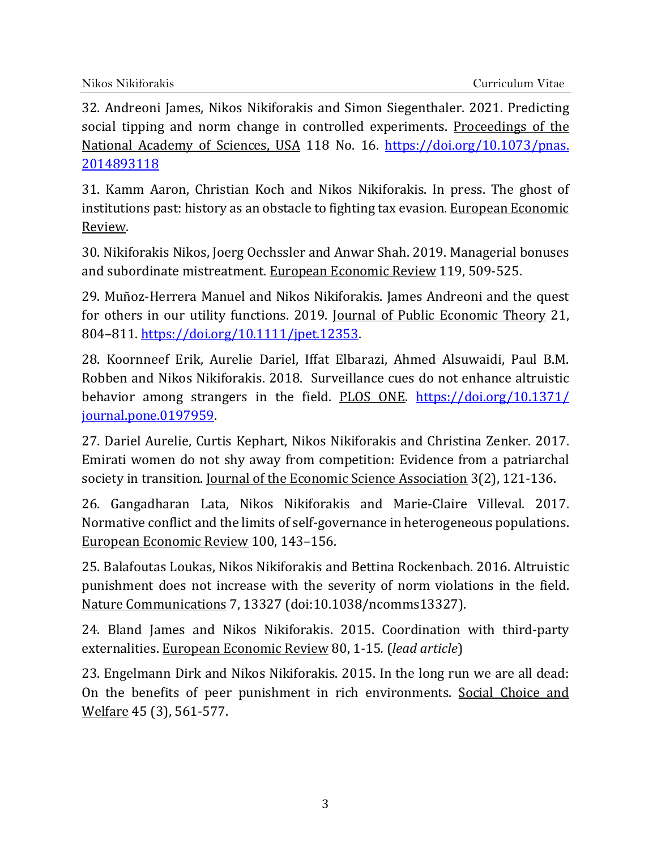2014893118 32. Andreoni James, Nikos Nikiforakis and Simon Siegenthaler. 2021. Predicting social tipping and norm change in controlled experiments. Proceedings of the National Academy of Sciences, USA 118 No. 16. https://doi.org/10.1073/pnas.

31. Kamm Aaron, Christian Koch and Nikos Nikiforakis. In press. The ghost of institutions past: history as an obstacle to fighting tax evasion. European Economic Review.

30. Nikiforakis Nikos, Joerg Oechssler and Anwar Shah. 2019. Managerial bonuses and subordinate mistreatment. European Economic Review 119, 509-525.

29. Muñoz-Herrera Manuel and Nikos Nikiforakis. James Andreoni and the quest for others in our utility functions. 2019. Journal of Public Economic Theory 21, 804–811. https://doi.org/10.1111/jpet.12353.

28. Koornneef Erik, Aurelie Dariel, Iffat Elbarazi, Ahmed Alsuwaidi, Paul B.M. Robben and Nikos Nikiforakis. 2018. Surveillance cues do not enhance altruistic behavior among strangers in the field. PLOS ONE. https://doi.org/10.1371/ journal.pone.0197959.

 27. Dariel Aurelie, Curtis Kephart, Nikos Nikiforakis and Christina Zenker. 2017. Emirati women do not shy away from competition: Evidence from a patriarchal society in transition. Journal of the Economic Science Association 3(2), 121-136.

26. Gangadharan Lata, Nikos Nikiforakis and Marie-Claire Villeval. 2017. Normative conflict and the limits of self-governance in heterogeneous populations. European Economic Review 100, 143–156.

25. Balafoutas Loukas, Nikos Nikiforakis and Bettina Rockenbach. 2016. Altruistic punishment does not increase with the severity of norm violations in the field. Nature Communications 7, 13327 (doi:10.1038/ncomms13327).

 externalities. European Economic Review 80, 1-15*.* (*lead article*) 24. Bland James and Nikos Nikiforakis. 2015. Coordination with third-party

23. Engelmann Dirk and Nikos Nikiforakis. 2015. In the long run we are all dead: On the benefits of peer punishment in rich environments. Social Choice and Welfare 45 (3), 561-577.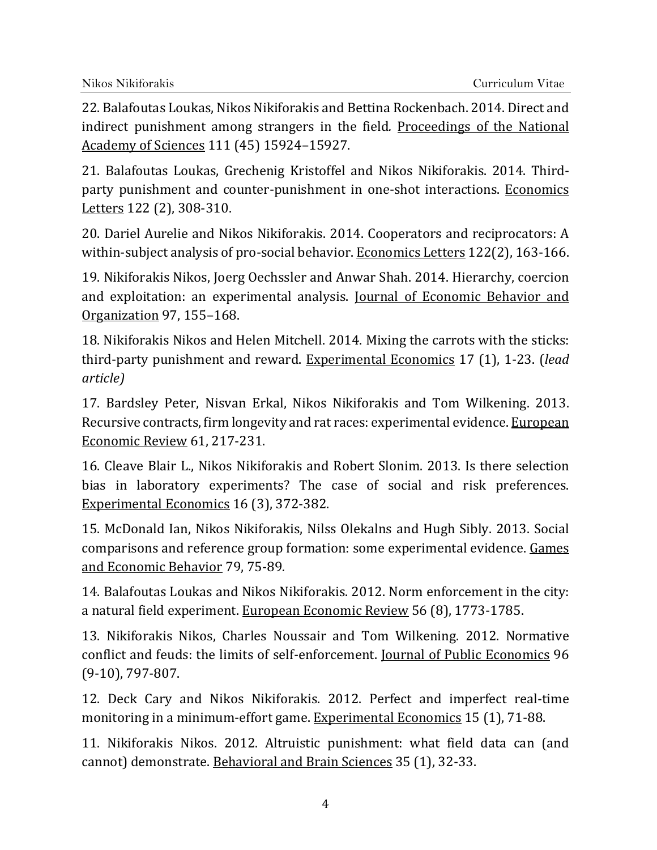22. Balafoutas Loukas, Nikos Nikiforakis and Bettina Rockenbach. 2014. Direct and indirect punishment among strangers in the field*.* Proceedings of the National Academy of Sciences 111 (45) 15924–15927.

21. Balafoutas Loukas, Grechenig Kristoffel and Nikos Nikiforakis. 2014. Thirdparty punishment and counter-punishment in one-shot interactions. Economics Letters 122 (2), 308-310.

20. Dariel Aurelie and Nikos Nikiforakis. 2014. Cooperators and reciprocators: A within-subject analysis of pro-social behavior. Economics Letters 122(2), 163-166.

19. Nikiforakis Nikos, Joerg Oechssler and Anwar Shah. 2014. Hierarchy, coercion and exploitation: an experimental analysis. Journal of Economic Behavior and Organization 97, 155–168.

18. Nikiforakis Nikos and Helen Mitchell. 2014. Mixing the carrots with the sticks: third-party punishment and reward. Experimental Economics 17 (1), 1-23. (*lead article)*

17. Bardsley Peter, Nisvan Erkal, Nikos Nikiforakis and Tom Wilkening. 2013. Recursive contracts, firm longevity and rat races: experimental evidence. European Economic Review 61, 217-231.

16. Cleave Blair L., Nikos Nikiforakis and Robert Slonim. 2013. Is there selection bias in laboratory experiments? The case of social and risk preferences. Experimental Economics 16 (3), 372-382.

15. McDonald Ian, Nikos Nikiforakis, Nilss Olekalns and Hugh Sibly. 2013. Social comparisons and reference group formation: some experimental evidence. Games and Economic Behavior 79, 75-89*.*

14. Balafoutas Loukas and Nikos Nikiforakis. 2012. Norm enforcement in the city: a natural field experiment. European Economic Review 56 (8), 1773-1785.

13. Nikiforakis Nikos, Charles Noussair and Tom Wilkening. 2012. Normative conflict and feuds: the limits of self-enforcement. Journal of Public Economics 96 (9-10), 797-807.

12. Deck Cary and Nikos Nikiforakis. 2012. Perfect and imperfect real-time monitoring in a minimum-effort game. Experimental Economics 15 (1), 71-88.

11. Nikiforakis Nikos. 2012. Altruistic punishment: what field data can (and cannot) demonstrate. Behavioral and Brain Sciences 35 (1), 32-33.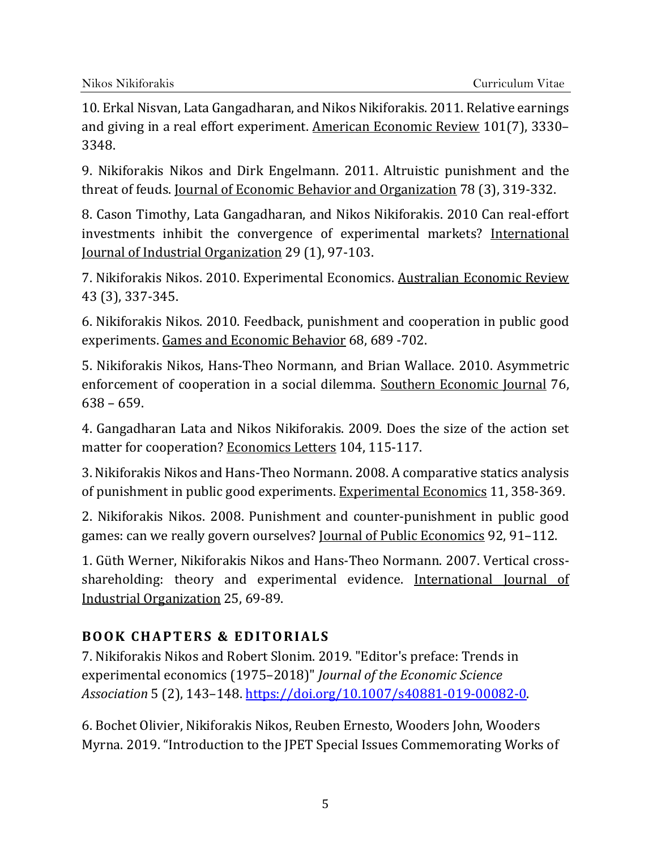10. Erkal Nisvan, Lata Gangadharan, and Nikos Nikiforakis. 2011. Relative earnings and giving in a real effort experiment. American Economic Review 101(7), 3330– 3348.

9. Nikiforakis Nikos and Dirk Engelmann. 2011. Altruistic punishment and the threat of feuds. Journal of Economic Behavior and Organization 78 (3), 319-332.

8. Cason Timothy, Lata Gangadharan, and Nikos Nikiforakis. 2010 Can real-effort investments inhibit the convergence of experimental markets? International Journal of Industrial Organization 29 (1), 97-103.

7. Nikiforakis Nikos. 2010. Experimental Economics. Australian Economic Review 43 (3), 337-345.

6. Nikiforakis Nikos. 2010. Feedback, punishment and cooperation in public good experiments. Games and Economic Behavior 68, 689 -702.

5. Nikiforakis Nikos, Hans-Theo Normann, and Brian Wallace. 2010. Asymmetric enforcement of cooperation in a social dilemma. Southern Economic Journal 76, 638 – 659.

4. Gangadharan Lata and Nikos Nikiforakis. 2009. Does the size of the action set matter for cooperation? Economics Letters 104, 115-117.

3. Nikiforakis Nikos and Hans-Theo Normann. 2008. A comparative statics analysis of punishment in public good experiments. Experimental Economics 11, 358-369.

2. Nikiforakis Nikos. 2008. Punishment and counter-punishment in public good games: can we really govern ourselves? Journal of Public Economics 92, 91–112.

1. Güth Werner, Nikiforakis Nikos and Hans-Theo Normann. 2007. Vertical crossshareholding: theory and experimental evidence. International Journal of Industrial Organization 25, 69-89.

# **BOOK CHAPTERS & EDITORIALS**

 experimental economics (1975–2018)" *Journal of the Economic Science* 7. Nikiforakis Nikos and Robert Slonim. 2019. "Editor's preface: Trends in *Association* 5 (2), 143–148. https://doi.org/10.1007/s40881-019-00082-0.

6. Bochet Olivier, Nikiforakis Nikos, Reuben Ernesto, Wooders John, Wooders Myrna. 2019. "Introduction to the JPET Special Issues Commemorating Works of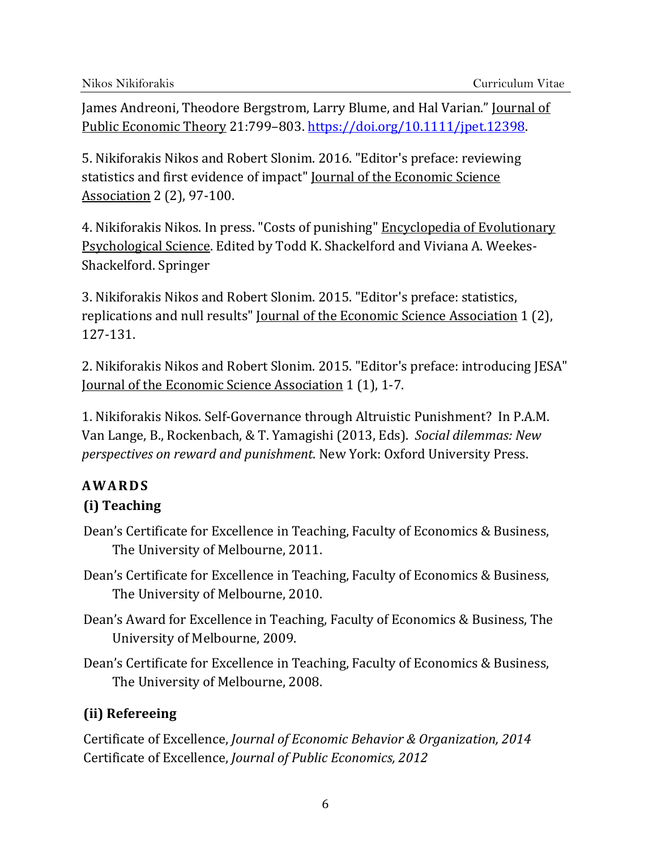James Andreoni, Theodore Bergstrom, Larry Blume, and Hal Varian." Journal of Public Economic Theory 21:799–803. https://doi.org/10.1111/jpet.12398.

5. Nikiforakis Nikos and Robert Slonim. 2016. "Editor's preface: reviewing statistics and first evidence of impact" Journal of the Economic Science Association 2 (2), 97-100.

Shackelford. Springer 4. Nikiforakis Nikos. In press. "Costs of punishing" Encyclopedia of Evolutionary Psychological Science. Edited by Todd K. Shackelford and Viviana A. Weekes-

3. Nikiforakis Nikos and Robert Slonim. 2015. "Editor's preface: statistics, replications and null results" Journal of the Economic Science Association 1 (2), 127-131.

2. Nikiforakis Nikos and Robert Slonim. 2015. "Editor's preface: introducing JESA" Journal of the Economic Science Association 1 (1), 1-7.

 Van Lange, B., Rockenbach, & T. Yamagishi (2013, Eds). *Social dilemmas: New perspectives on reward and punishment*. New York: Oxford University Press. 1. Nikiforakis Nikos. Self-Governance through Altruistic Punishment? In P.A.M.

# **AWARDS**

# **(i) Teaching**

- Dean's Certificate for Excellence in Teaching, Faculty of Economics & Business, The University of Melbourne, 2011.
- Dean's Certificate for Excellence in Teaching, Faculty of Economics & Business, The University of Melbourne, 2010.
- Dean's Award for Excellence in Teaching, Faculty of Economics & Business, The University of Melbourne, 2009.
- Dean's Certificate for Excellence in Teaching, Faculty of Economics & Business, The University of Melbourne, 2008.

# **(ii) Refereeing**

 Certificate of Excellence, *Journal of Economic Behavior & Organization, 2014*  Certificate of Excellence, *Journal of Public Economics, 2012*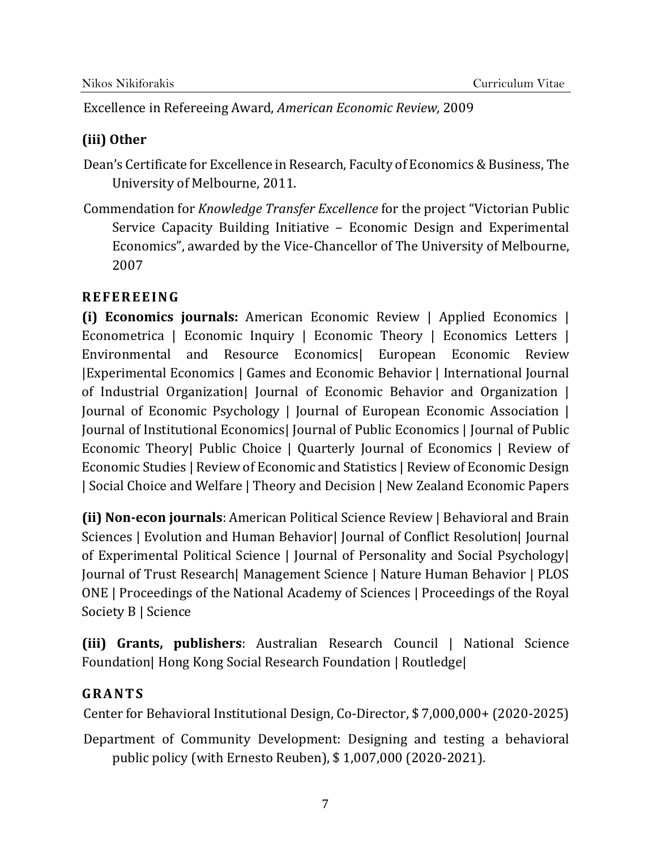Excellence in Refereeing Award, *American Economic Review,* 2009

## **(iii) Other**

Dean's Certificate for Excellence in Research, Faculty of Economics & Business, The University of Melbourne, 2011.

 Commendation for *Knowledge Transfer Excellence* for the project "Victorian Public Service Capacity Building Initiative – Economic Design and Experimental Economics", awarded by the Vice-Chancellor of The University of Melbourne, 2007

## **REFEREEING**

**(i) Economics journals:** American Economic Review | Applied Economics | Econometrica | Economic Inquiry | Economic Theory | Economics Letters | Environmental and Resource Economics| European Economic Review |Experimental Economics | Games and Economic Behavior | International Journal of Industrial Organization| Journal of Economic Behavior and Organization | Journal of Economic Psychology | Journal of European Economic Association | Journal of Institutional Economics| Journal of Public Economics | Journal of Public Economic Theory| Public Choice | Quarterly Journal of Economics | Review of Economic Studies | Review of Economic and Statistics | Review of Economic Design | Social Choice and Welfare | Theory and Decision | New Zealand Economic Papers

**(ii) Non‐econ journals**: American Political Science Review | Behavioral and Brain Sciences | Evolution and Human Behavior| Journal of Conflict Resolution| Journal of Experimental Political Science | Journal of Personality and Social Psychology| Journal of Trust Research| Management Science | Nature Human Behavior | PLOS ONE | Proceedings of the National Academy of Sciences | Proceedings of the Royal Society B | Science

**(iii)** Grants, publishers: Australian Research Council | National Science Foundation| Hong Kong Social Research Foundation | Routledge|

## **GRANTS**

Center for Behavioral Institutional Design, Co-Director, \$ 7,000,000+ (2020-2025)

Department of Community Development: Designing and testing a behavioral public policy (with Ernesto Reuben), \$ 1,007,000 (2020-2021).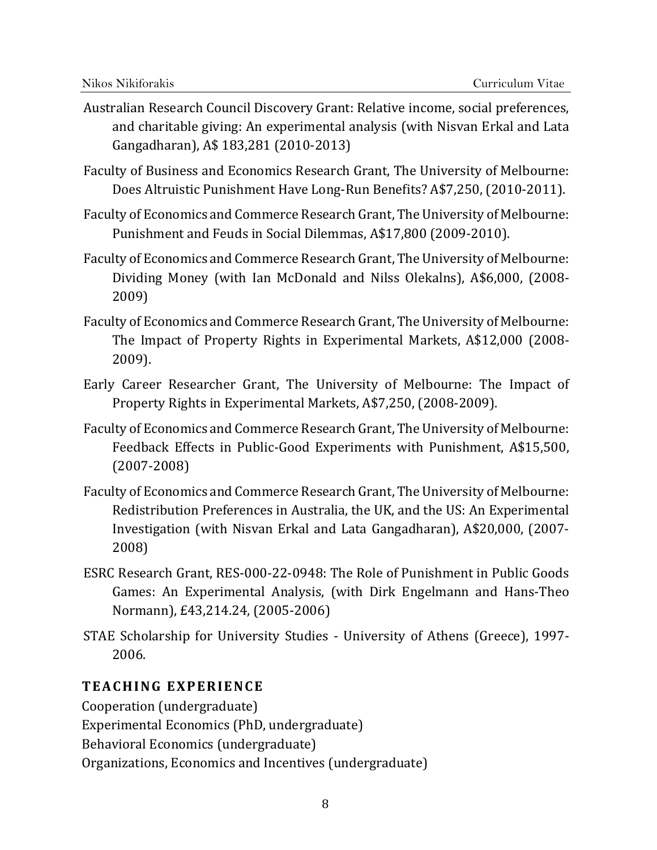- Australian Research Council Discovery Grant: Relative income, social preferences, and charitable giving: An experimental analysis (with Nisvan Erkal and Lata Gangadharan), A\$ 183,281 (2010-2013)
- Faculty of Business and Economics Research Grant, The University of Melbourne: Does Altruistic Punishment Have Long-Run Benefits? A\$7,250, (2010-2011).
- Faculty of Economics and Commerce Research Grant, The University of Melbourne: Punishment and Feuds in Social Dilemmas, A\$17,800 (2009-2010).
- Faculty of Economics and Commerce Research Grant, The University of Melbourne: Dividing Money (with Ian McDonald and Nilss Olekalns), A\$6,000, (2008- 2009)
- Faculty of Economics and Commerce Research Grant, The University of Melbourne: The Impact of Property Rights in Experimental Markets, A\$12,000 (2008- 2009).
- Early Career Researcher Grant, The University of Melbourne: The Impact of Property Rights in Experimental Markets, A\$7,250, (2008-2009).
- Faculty of Economics and Commerce Research Grant, The University of Melbourne: Feedback Effects in Public-Good Experiments with Punishment, A\$15,500, (2007-2008)
- Faculty of Economics and Commerce Research Grant, The University of Melbourne: Redistribution Preferences in Australia, the UK, and the US: An Experimental Investigation (with Nisvan Erkal and Lata Gangadharan), A\$20,000, (2007- 2008)
- ESRC Research Grant, RES-000-22-0948: The Role of Punishment in Public Goods Games: An Experimental Analysis, (with Dirk Engelmann and Hans-Theo Normann), £43,214.24, (2005-2006)
- STAE Scholarship for University Studies University of Athens (Greece), 1997- 2006.

#### **TEACHING EXPERIENCE**

Cooperation (undergraduate)

Experimental Economics (PhD, undergraduate)

Behavioral Economics (undergraduate)

Organizations, Economics and Incentives (undergraduate)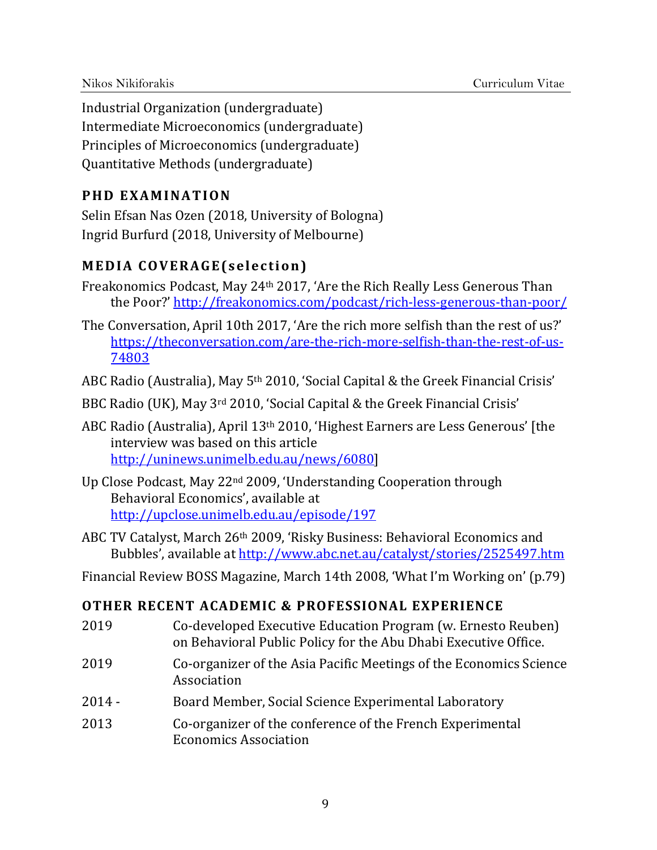Industrial Organization (undergraduate) Intermediate Microeconomics (undergraduate) Principles of Microeconomics (undergraduate) Quantitative Methods (undergraduate)

#### **PHD EXAMINATION**

Selin Efsan Nas Ozen (2018, University of Bologna) Ingrid Burfurd (2018, University of Melbourne)

## **MEDIA COVERAGE(selection)**

- the Poor?' http://freakonomics.com/podcast/rich-less-generous-than-poor/ Freakonomics Podcast, May 24th 2017, 'Are the Rich Really Less Generous Than
- 74803 The Conversation, April 10th 2017, 'Are the rich more selfish than the rest of us?' https://theconversation.com/are-the-rich-more-selfish-than-the-rest-of-us-

ABC Radio (Australia), May 5th 2010, 'Social Capital & the Greek Financial Crisis'

- BBC Radio (UK), May 3rd 2010, 'Social Capital & the Greek Financial Crisis'
- ABC Radio (Australia), April 13th 2010, 'Highest Earners are Less Generous' [the interview was based on this article http://uninews.unimelb.edu.au/news/6080]
- http://upclose.unimelb.edu.au/episode/197 Up Close Podcast, May 22nd 2009, 'Understanding Cooperation through Behavioral Economics', available at
- Bubbles', available at http://www.abc.net.au/catalyst/stories/2525497.htm ABC TV Catalyst, March 26th 2009, 'Risky Business: Behavioral Economics and
- Financial Review BOSS Magazine, March 14th 2008, 'What I'm Working on' (p.79)

#### **OTHER RECENT ACADEMIC & PROFESSIONAL EXPERIENCE**

- 2019 Co-developed Executive Education Program (w. Ernesto Reuben) on Behavioral Public Policy for the Abu Dhabi Executive Office.
- 2019 Co-organizer of the Asia Pacific Meetings of the Economics Science Association
- 2014 Board Member, Social Science Experimental Laboratory
- 2013 Co-organizer of the conference of the French Experimental Economics Association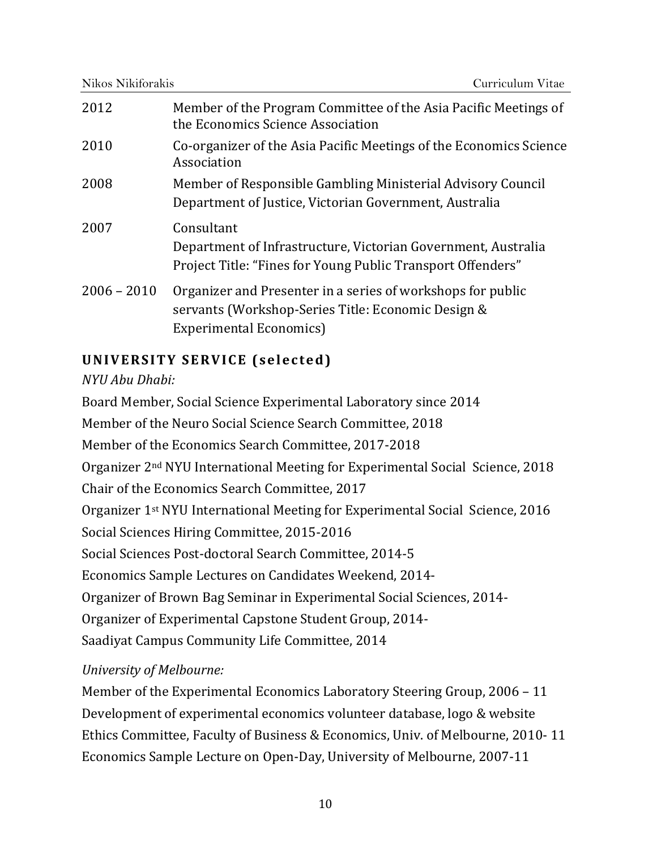| Nikos Nikiforakis<br>Curriculum Vitae |                                                                                                                                                     |
|---------------------------------------|-----------------------------------------------------------------------------------------------------------------------------------------------------|
| 2012                                  | Member of the Program Committee of the Asia Pacific Meetings of<br>the Economics Science Association                                                |
| 2010                                  | Co-organizer of the Asia Pacific Meetings of the Economics Science<br>Association                                                                   |
| 2008                                  | Member of Responsible Gambling Ministerial Advisory Council<br>Department of Justice, Victorian Government, Australia                               |
| 2007                                  | Consultant<br>Department of Infrastructure, Victorian Government, Australia<br>Project Title: "Fines for Young Public Transport Offenders"          |
| $2006 - 2010$                         | Organizer and Presenter in a series of workshops for public<br>servants (Workshop-Series Title: Economic Design &<br><b>Experimental Economics)</b> |

# **UNIVERSITY SERVICE (selected)**

#### *NYU Abu Dhabi:*

Board Member, Social Science Experimental Laboratory since 2014 Member of the Neuro Social Science Search Committee, 2018 Member of the Economics Search Committee, 2017-2018 Organizer 2nd NYU International Meeting for Experimental Social Science, 2018 Chair of the Economics Search Committee, 2017 Organizer 1st NYU International Meeting for Experimental Social Science, 2016 Social Sciences Hiring Committee, 2015-2016 Social Sciences Post-doctoral Search Committee, 2014-5 Economics Sample Lectures on Candidates Weekend, 2014- Organizer of Brown Bag Seminar in Experimental Social Sciences, 2014- Organizer of Experimental Capstone Student Group, 2014- Saadiyat Campus Community Life Committee, 2014

## *University of Melbourne:*

Member of the Experimental Economics Laboratory Steering Group, 2006 – 11 Development of experimental economics volunteer database, logo & website Ethics Committee, Faculty of Business & Economics, Univ. of Melbourne, 2010- 11 Economics Sample Lecture on Open-Day, University of Melbourne, 2007-11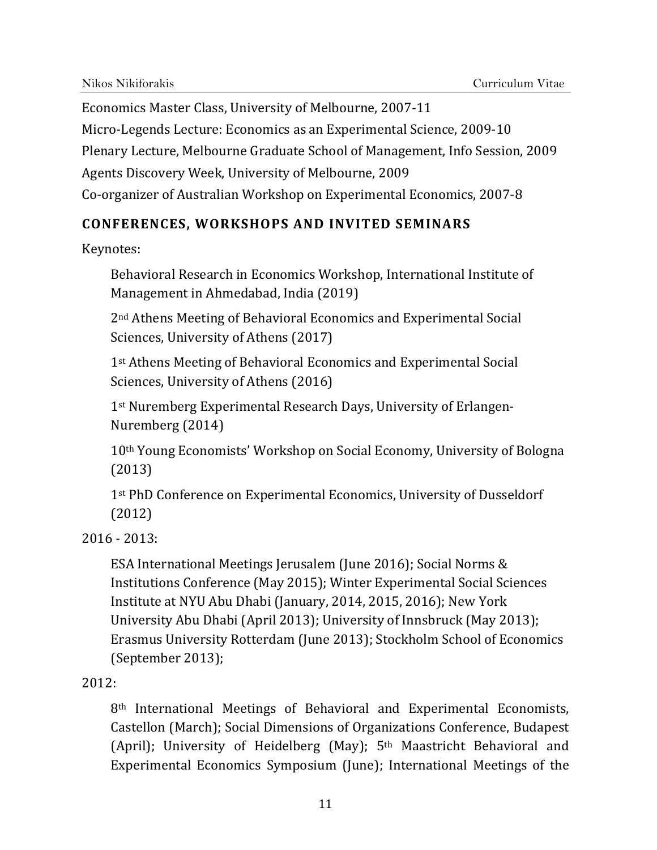Economics Master Class, University of Melbourne, 2007-11 Micro-Legends Lecture: Economics as an Experimental Science, 2009-10 Plenary Lecture, Melbourne Graduate School of Management, Info Session, 2009 Agents Discovery Week, University of Melbourne, 2009 Co-organizer of Australian Workshop on Experimental Economics, 2007-8

## **CONFERENCES, WORKSHOPS AND INVITED SEMINARS**

Keynotes:

Behavioral Research in Economics Workshop, International Institute of Management in Ahmedabad, India (2019)

2nd Athens Meeting of Behavioral Economics and Experimental Social Sciences, University of Athens (2017)

1st Athens Meeting of Behavioral Economics and Experimental Social Sciences, University of Athens (2016)

 1st Nuremberg Experimental Research Days, University of Erlangen-Nuremberg (2014)

 10th Young Economists' Workshop on Social Economy, University of Bologna (2013)

1<sup>st</sup> PhD Conference on Experimental Economics, University of Dusseldorf (2012)

 $2016 - 2013$ :

ESA International Meetings Jerusalem (June 2016); Social Norms & Institutions Conference (May 2015); Winter Experimental Social Sciences Institute at NYU Abu Dhabi (January, 2014, 2015, 2016); New York University Abu Dhabi (April 2013); University of Innsbruck (May 2013); Erasmus University Rotterdam (June 2013); Stockholm School of Economics (September 2013);

2012:

 8th International Meetings of Behavioral and Experimental Economists, Castellon (March); Social Dimensions of Organizations Conference, Budapest (April); University of Heidelberg (May); 5th Maastricht Behavioral and Experimental Economics Symposium (June); International Meetings of the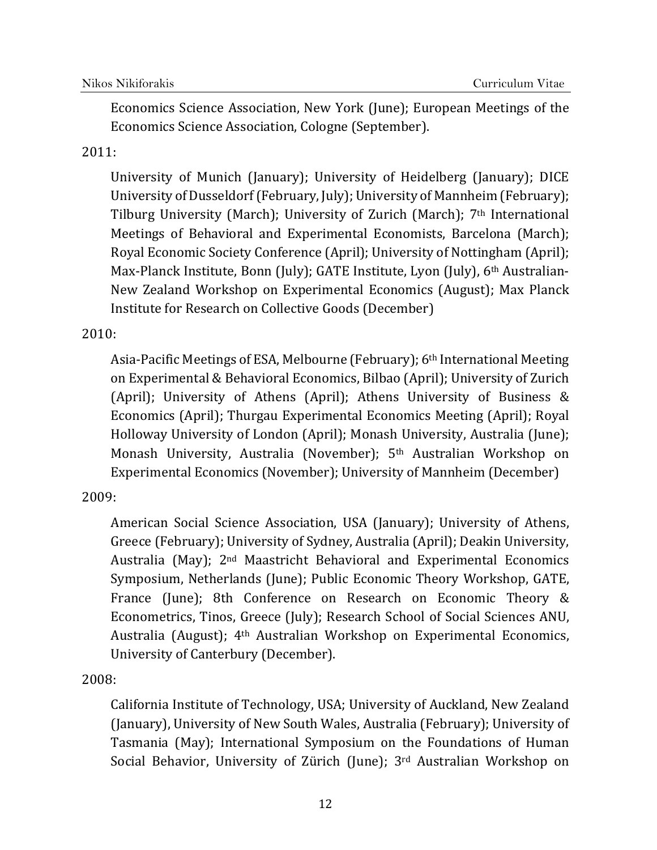Economics Science Association, New York (June); European Meetings of the Economics Science Association, Cologne (September).

#### 2011:

University of Munich (January); University of Heidelberg (January); DICE University of Dusseldorf (February, July); University of Mannheim (February); Tilburg University (March); University of Zurich (March); 7th International Meetings of Behavioral and Experimental Economists, Barcelona (March); Royal Economic Society Conference (April); University of Nottingham (April); Max-Planck Institute, Bonn (July); GATE Institute, Lyon (July), 6th Australian-New Zealand Workshop on Experimental Economics (August); Max Planck Institute for Research on Collective Goods (December)

#### 2010:

Asia-Pacific Meetings of ESA, Melbourne (February); 6th International Meeting on Experimental & Behavioral Economics, Bilbao (April); University of Zurich (April); University of Athens (April); Athens University of Business & Economics (April); Thurgau Experimental Economics Meeting (April); Royal Holloway University of London (April); Monash University, Australia (June); Monash University, Australia (November); 5th Australian Workshop on Experimental Economics (November); University of Mannheim (December)

## 2009:

 University of Canterbury (December). American Social Science Association, USA (January); University of Athens, Greece (February); University of Sydney, Australia (April); Deakin University, Australia (May); 2nd Maastricht Behavioral and Experimental Economics Symposium, Netherlands (June); Public Economic Theory Workshop, GATE, France (June); 8th Conference on Research on Economic Theory & Econometrics, Tinos, Greece (July); Research School of Social Sciences ANU, Australia (August); 4th Australian Workshop on Experimental Economics,

2008:

California Institute of Technology, USA; University of Auckland, New Zealand (January), University of New South Wales, Australia (February); University of Tasmania (May); International Symposium on the Foundations of Human Social Behavior, University of Zürich (June); 3rd Australian Workshop on